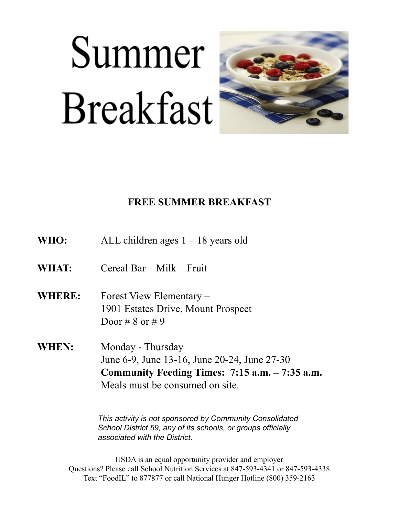# Summer **Breakfast**



#### **FREE SUMMER BREAKFAST**

| WHO: | ALL children ages $1 - 18$ years old |  |
|------|--------------------------------------|--|
|------|--------------------------------------|--|

- **WHAT:** Cereal Bar Milk Fruit
- **WHERE:** Forest View Elementary 1901 Estates Drive, Mount Prospect Door # 8 or # 9
- **WHEN:** Monday Thursday June 6-9, June 13-16, June 20-24, June 27-30 **Community Feeding Times: 7:15 a.m. – 7:35 a.m.** Meals must be consumed on site.

*This activity is not sponsored by Community Consolidated School District 59, any of its schools, or groups officially associated with the District.* 

USDA is an equal opportunity provider and employer Questions? Please call School Nutrition Services at 847-593-4341 or 847-593-4338 Text "FoodIL" to 877877 or call National Hunger Hotline (800) 359-2163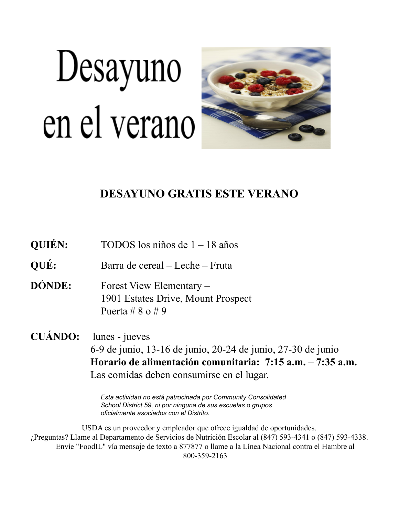# Desayuno en el verano



### **DESAYUNO GRATIS ESTE VERANO**

| <b>QUIÉN:</b>  | TODOS los niños de $1 - 18$ años                                                                                                                                                          |
|----------------|-------------------------------------------------------------------------------------------------------------------------------------------------------------------------------------------|
| QUÉ:           | Barra de cereal – Leche – Fruta                                                                                                                                                           |
| <b>DÓNDE:</b>  | Forest View Elementary –<br>1901 Estates Drive, Mount Prospect<br>Puerta # $8 \text{ o } \# 9$                                                                                            |
| <b>CUÁNDO:</b> | lunes - jueves<br>6-9 de junio, 13-16 de junio, 20-24 de junio, 27-30 de junio<br>Horario de alimentación comunitaria: 7:15 a.m. – 7:35 a.m.<br>Las comidas deben consumirse en el lugar. |

*Esta actividad no está patrocinada por Community Consolidated School District 59, ni por ninguna de sus escuelas o grupos oficialmente asociados con el Distrito.*

USDA es un proveedor y empleador que ofrece igualdad de oportunidades. ¿Preguntas? Llame al Departamento de Servicios de Nutrición Escolar al (847) 593-4341 o (847) 593-4338. Envíe "FoodIL" vía mensaje de texto a 877877 o llame a la Línea Nacional contra el Hambre al 800-359-2163